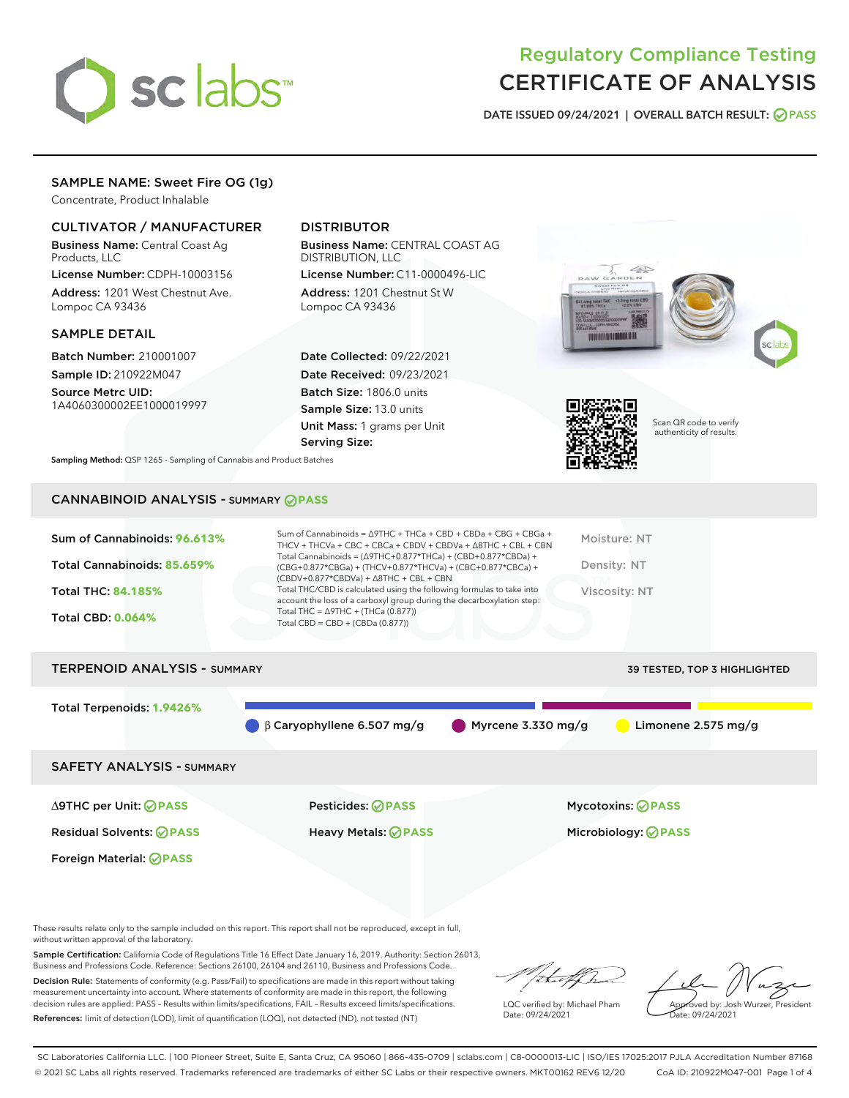

# Regulatory Compliance Testing CERTIFICATE OF ANALYSIS

DATE ISSUED 09/24/2021 | OVERALL BATCH RESULT: @ PASS

## SAMPLE NAME: Sweet Fire OG (1g)

Concentrate, Product Inhalable

## CULTIVATOR / MANUFACTURER

Business Name: Central Coast Ag Products, LLC

License Number: CDPH-10003156 Address: 1201 West Chestnut Ave. Lompoc CA 93436

### SAMPLE DETAIL

Batch Number: 210001007 Sample ID: 210922M047

Source Metrc UID: 1A4060300002EE1000019997

## DISTRIBUTOR

Business Name: CENTRAL COAST AG DISTRIBUTION, LLC

License Number: C11-0000496-LIC Address: 1201 Chestnut St W Lompoc CA 93436

Date Collected: 09/22/2021 Date Received: 09/23/2021 Batch Size: 1806.0 units Sample Size: 13.0 units Unit Mass: 1 grams per Unit Serving Size:





Scan QR code to verify authenticity of results.

Sampling Method: QSP 1265 - Sampling of Cannabis and Product Batches

## CANNABINOID ANALYSIS - SUMMARY **PASS**



Total Terpenoids: **1.9426%** β Caryophyllene 6.507 mg/g  $\bigcirc$  Myrcene 3.330 mg/g  $\bigcirc$  Limonene 2.575 mg/g SAFETY ANALYSIS - SUMMARY

∆9THC per Unit: **PASS** Pesticides: **PASS** Mycotoxins: **PASS**

Foreign Material: **PASS**

Residual Solvents: **PASS** Heavy Metals: **PASS** Microbiology: **PASS**

These results relate only to the sample included on this report. This report shall not be reproduced, except in full, without written approval of the laboratory.

Sample Certification: California Code of Regulations Title 16 Effect Date January 16, 2019. Authority: Section 26013, Business and Professions Code. Reference: Sections 26100, 26104 and 26110, Business and Professions Code.

Decision Rule: Statements of conformity (e.g. Pass/Fail) to specifications are made in this report without taking measurement uncertainty into account. Where statements of conformity are made in this report, the following decision rules are applied: PASS – Results within limits/specifications, FAIL – Results exceed limits/specifications. References: limit of detection (LOD), limit of quantification (LOQ), not detected (ND), not tested (NT)

that f(ha

LQC verified by: Michael Pham Date: 09/24/2021

Approved by: Josh Wurzer, President ate: 09/24/2021

SC Laboratories California LLC. | 100 Pioneer Street, Suite E, Santa Cruz, CA 95060 | 866-435-0709 | sclabs.com | C8-0000013-LIC | ISO/IES 17025:2017 PJLA Accreditation Number 87168 © 2021 SC Labs all rights reserved. Trademarks referenced are trademarks of either SC Labs or their respective owners. MKT00162 REV6 12/20 CoA ID: 210922M047-001 Page 1 of 4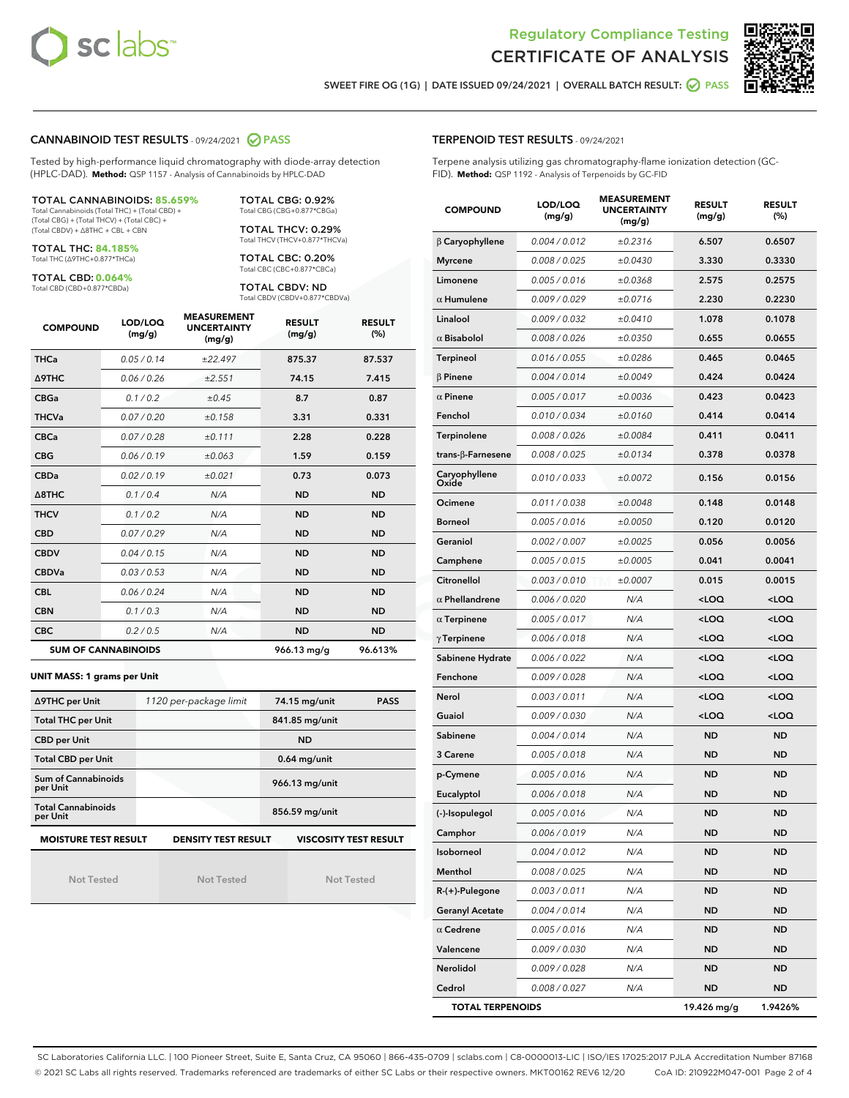



SWEET FIRE OG (1G) | DATE ISSUED 09/24/2021 | OVERALL BATCH RESULT: @ PASS

#### CANNABINOID TEST RESULTS - 09/24/2021 2 PASS

Tested by high-performance liquid chromatography with diode-array detection (HPLC-DAD). **Method:** QSP 1157 - Analysis of Cannabinoids by HPLC-DAD

TOTAL CANNABINOIDS: **85.659%** Total Cannabinoids (Total THC) + (Total CBD) +

(Total CBG) + (Total THCV) + (Total CBC) + (Total CBDV) + ∆8THC + CBL + CBN

TOTAL THC: **84.185%** Total THC (∆9THC+0.877\*THCa)

TOTAL CBD: **0.064%**

Total CBD (CBD+0.877\*CBDa)

TOTAL CBG: 0.92% Total CBG (CBG+0.877\*CBGa)

TOTAL THCV: 0.29% Total THCV (THCV+0.877\*THCVa)

TOTAL CBC: 0.20% Total CBC (CBC+0.877\*CBCa)

TOTAL CBDV: ND Total CBDV (CBDV+0.877\*CBDVa)

| <b>COMPOUND</b> | LOD/LOQ<br>(mg/g)          | <b>MEASUREMENT</b><br><b>UNCERTAINTY</b><br>(mg/g) | <b>RESULT</b><br>(mg/g) | <b>RESULT</b><br>(%) |
|-----------------|----------------------------|----------------------------------------------------|-------------------------|----------------------|
| <b>THCa</b>     | 0.05/0.14                  | ±22.497                                            | 875.37                  | 87.537               |
| <b>A9THC</b>    | 0.06 / 0.26                | ±2.551                                             | 74.15                   | 7.415                |
| <b>CBGa</b>     | 0.1 / 0.2                  | $\pm 0.45$                                         | 8.7                     | 0.87                 |
| <b>THCVa</b>    | 0.07/0.20                  | ±0.158                                             | 3.31                    | 0.331                |
| <b>CBCa</b>     | 0.07/0.28                  | ±0.111                                             | 2.28                    | 0.228                |
| <b>CBG</b>      | 0.06/0.19                  | ±0.063                                             | 1.59                    | 0.159                |
| <b>CBDa</b>     | 0.02/0.19                  | ±0.021                                             | 0.73                    | 0.073                |
| A8THC           | 0.1/0.4                    | N/A                                                | <b>ND</b>               | <b>ND</b>            |
| <b>THCV</b>     | 0.1/0.2                    | N/A                                                | <b>ND</b>               | <b>ND</b>            |
| <b>CBD</b>      | 0.07/0.29                  | N/A                                                | <b>ND</b>               | <b>ND</b>            |
| <b>CBDV</b>     | 0.04 / 0.15                | N/A                                                | <b>ND</b>               | <b>ND</b>            |
| <b>CBDVa</b>    | 0.03/0.53                  | N/A                                                | <b>ND</b>               | <b>ND</b>            |
| <b>CBL</b>      | 0.06 / 0.24                | N/A                                                | <b>ND</b>               | <b>ND</b>            |
| <b>CBN</b>      | 0.1/0.3                    | N/A                                                | <b>ND</b>               | <b>ND</b>            |
| <b>CBC</b>      | 0.2 / 0.5                  | N/A                                                | <b>ND</b>               | <b>ND</b>            |
|                 | <b>SUM OF CANNABINOIDS</b> |                                                    | 966.13 mg/g             | 96.613%              |

#### **UNIT MASS: 1 grams per Unit**

| ∆9THC per Unit                        | 1120 per-package limit     | 74.15 mg/unit<br><b>PASS</b> |
|---------------------------------------|----------------------------|------------------------------|
| <b>Total THC per Unit</b>             |                            | 841.85 mg/unit               |
| <b>CBD per Unit</b>                   |                            | <b>ND</b>                    |
| <b>Total CBD per Unit</b>             |                            | $0.64$ mg/unit               |
| Sum of Cannabinoids<br>per Unit       |                            | 966.13 mg/unit               |
| <b>Total Cannabinoids</b><br>per Unit |                            | 856.59 mg/unit               |
| <b>MOISTURE TEST RESULT</b>           | <b>DENSITY TEST RESULT</b> | <b>VISCOSITY TEST RESULT</b> |

Not Tested

Not Tested

Not Tested

#### TERPENOID TEST RESULTS - 09/24/2021

Terpene analysis utilizing gas chromatography-flame ionization detection (GC-FID). **Method:** QSP 1192 - Analysis of Terpenoids by GC-FID

| <b>COMPOUND</b>         | LOD/LOQ<br>(mg/g) | <b>MEASUREMENT</b><br><b>UNCERTAINTY</b><br>(mg/g) | <b>RESULT</b><br>(mg/g)                         | <b>RESULT</b><br>$(\%)$ |
|-------------------------|-------------------|----------------------------------------------------|-------------------------------------------------|-------------------------|
| $\beta$ Caryophyllene   | 0.004 / 0.012     | ±0.2316                                            | 6.507                                           | 0.6507                  |
| <b>Myrcene</b>          | 0.008 / 0.025     | ±0.0430                                            | 3.330                                           | 0.3330                  |
| Limonene                | 0.005 / 0.016     | ±0.0368                                            | 2.575                                           | 0.2575                  |
| $\alpha$ Humulene       | 0.009/0.029       | ±0.0716                                            | 2.230                                           | 0.2230                  |
| Linalool                | 0.009 / 0.032     | ±0.0410                                            | 1.078                                           | 0.1078                  |
| $\alpha$ Bisabolol      | 0.008 / 0.026     | ±0.0350                                            | 0.655                                           | 0.0655                  |
| <b>Terpineol</b>        | 0.016 / 0.055     | ±0.0286                                            | 0.465                                           | 0.0465                  |
| $\beta$ Pinene          | 0.004 / 0.014     | ±0.0049                                            | 0.424                                           | 0.0424                  |
| $\alpha$ Pinene         | 0.005 / 0.017     | ±0.0036                                            | 0.423                                           | 0.0423                  |
| Fenchol                 | 0.010 / 0.034     | ±0.0160                                            | 0.414                                           | 0.0414                  |
| Terpinolene             | 0.008 / 0.026     | ±0.0084                                            | 0.411                                           | 0.0411                  |
| trans-β-Farnesene       | 0.008 / 0.025     | ±0.0134                                            | 0.378                                           | 0.0378                  |
| Caryophyllene<br>Oxide  | 0.010 / 0.033     | ±0.0072                                            | 0.156                                           | 0.0156                  |
| Ocimene                 | 0.011 / 0.038     | ±0.0048                                            | 0.148                                           | 0.0148                  |
| <b>Borneol</b>          | 0.005 / 0.016     | ±0.0050                                            | 0.120                                           | 0.0120                  |
| Geraniol                | 0.002 / 0.007     | ±0.0025                                            | 0.056                                           | 0.0056                  |
| Camphene                | 0.005 / 0.015     | ±0.0005                                            | 0.041                                           | 0.0041                  |
| Citronellol             | 0.003 / 0.010     | ±0.0007                                            | 0.015                                           | 0.0015                  |
| $\alpha$ Phellandrene   | 0.006 / 0.020     | N/A                                                | <loq< th=""><th><loq< th=""></loq<></th></loq<> | <loq< th=""></loq<>     |
| $\alpha$ Terpinene      | 0.005 / 0.017     | N/A                                                | <loq< th=""><th><loq< th=""></loq<></th></loq<> | <loq< th=""></loq<>     |
| $\gamma$ Terpinene      | 0.006 / 0.018     | N/A                                                | <loq< th=""><th><loq< th=""></loq<></th></loq<> | <loq< th=""></loq<>     |
| Sabinene Hydrate        | 0.006 / 0.022     | N/A                                                | <loq< th=""><th><loq< th=""></loq<></th></loq<> | <loq< th=""></loq<>     |
| Fenchone                | 0.009 / 0.028     | N/A                                                | <loq< th=""><th><loq< th=""></loq<></th></loq<> | <loq< th=""></loq<>     |
| Nerol                   | 0.003 / 0.011     | N/A                                                | <loq< th=""><th><loq< th=""></loq<></th></loq<> | <loq< th=""></loq<>     |
| Guaiol                  | 0.009 / 0.030     | N/A                                                | <loq< th=""><th><loq< th=""></loq<></th></loq<> | <loq< th=""></loq<>     |
| Sabinene                | 0.004 / 0.014     | N/A                                                | ND                                              | <b>ND</b>               |
| 3 Carene                | 0.005 / 0.018     | N/A                                                | <b>ND</b>                                       | <b>ND</b>               |
| p-Cymene                | 0.005 / 0.016     | N/A                                                | <b>ND</b>                                       | <b>ND</b>               |
| Eucalyptol              | 0.006 / 0.018     | N/A                                                | ND                                              | <b>ND</b>               |
| (-)-Isopulegol          | 0.005 / 0.016     | N/A                                                | ND                                              | ND                      |
| Camphor                 | 0.006 / 0.019     | N/A                                                | ND                                              | ND                      |
| Isoborneol              | 0.004 / 0.012     | N/A                                                | ND                                              | ND                      |
| Menthol                 | 0.008 / 0.025     | N/A                                                | ND                                              | ND                      |
| R-(+)-Pulegone          | 0.003 / 0.011     | N/A                                                | ND                                              | <b>ND</b>               |
| <b>Geranyl Acetate</b>  | 0.004 / 0.014     | N/A                                                | ND                                              | ND                      |
| $\alpha$ Cedrene        | 0.005 / 0.016     | N/A                                                | ND                                              | ND                      |
| Valencene               | 0.009 / 0.030     | N/A                                                | ND                                              | ND                      |
| Nerolidol               | 0.009 / 0.028     | N/A                                                | ND                                              | ND                      |
| Cedrol                  | 0.008 / 0.027     | N/A                                                | ND                                              | ND                      |
| <b>TOTAL TERPENOIDS</b> |                   |                                                    | 19.426 mg/g                                     | 1.9426%                 |

SC Laboratories California LLC. | 100 Pioneer Street, Suite E, Santa Cruz, CA 95060 | 866-435-0709 | sclabs.com | C8-0000013-LIC | ISO/IES 17025:2017 PJLA Accreditation Number 87168 © 2021 SC Labs all rights reserved. Trademarks referenced are trademarks of either SC Labs or their respective owners. MKT00162 REV6 12/20 CoA ID: 210922M047-001 Page 2 of 4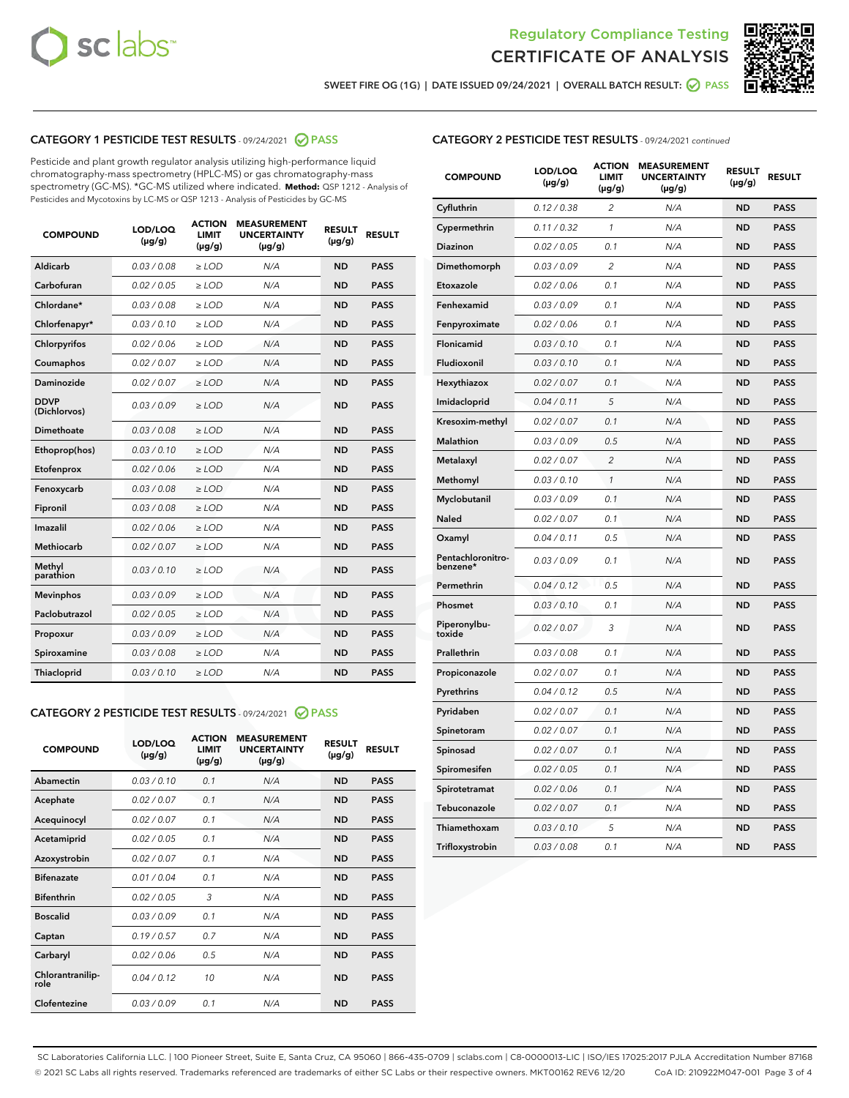



SWEET FIRE OG (1G) | DATE ISSUED 09/24/2021 | OVERALL BATCH RESULT: O PASS

## CATEGORY 1 PESTICIDE TEST RESULTS - 09/24/2021 2 PASS

Pesticide and plant growth regulator analysis utilizing high-performance liquid chromatography-mass spectrometry (HPLC-MS) or gas chromatography-mass spectrometry (GC-MS). \*GC-MS utilized where indicated. **Method:** QSP 1212 - Analysis of Pesticides and Mycotoxins by LC-MS or QSP 1213 - Analysis of Pesticides by GC-MS

| <b>COMPOUND</b>             | LOD/LOQ<br>$(\mu g/g)$ | <b>ACTION</b><br><b>LIMIT</b><br>$(\mu g/g)$ | <b>MEASUREMENT</b><br><b>UNCERTAINTY</b><br>$(\mu g/g)$ | <b>RESULT</b><br>$(\mu g/g)$ | <b>RESULT</b> |
|-----------------------------|------------------------|----------------------------------------------|---------------------------------------------------------|------------------------------|---------------|
| Aldicarb                    | 0.03/0.08              | $>$ LOD                                      | N/A                                                     | <b>ND</b>                    | <b>PASS</b>   |
| Carbofuran                  | 0.02 / 0.05            | $\ge$ LOD                                    | N/A                                                     | <b>ND</b>                    | <b>PASS</b>   |
| Chlordane*                  | 0.03/0.08              | $>$ LOD                                      | N/A                                                     | <b>ND</b>                    | <b>PASS</b>   |
| Chlorfenapyr*               | 0.03 / 0.10            | $\ge$ LOD                                    | N/A                                                     | <b>ND</b>                    | <b>PASS</b>   |
| Chlorpyrifos                | 0.02 / 0.06            | $\ge$ LOD                                    | N/A                                                     | <b>ND</b>                    | <b>PASS</b>   |
| Coumaphos                   | 0.02 / 0.07            | $\ge$ LOD                                    | N/A                                                     | <b>ND</b>                    | <b>PASS</b>   |
| Daminozide                  | 0.02 / 0.07            | $\ge$ LOD                                    | N/A                                                     | <b>ND</b>                    | <b>PASS</b>   |
| <b>DDVP</b><br>(Dichlorvos) | 0.03/0.09              | $\ge$ LOD                                    | N/A                                                     | <b>ND</b>                    | <b>PASS</b>   |
| <b>Dimethoate</b>           | 0.03/0.08              | $\ge$ LOD                                    | N/A                                                     | <b>ND</b>                    | <b>PASS</b>   |
| Ethoprop(hos)               | 0.03/0.10              | $\ge$ LOD                                    | N/A                                                     | <b>ND</b>                    | <b>PASS</b>   |
| Etofenprox                  | 0.02 / 0.06            | $\ge$ LOD                                    | N/A                                                     | <b>ND</b>                    | <b>PASS</b>   |
| Fenoxycarb                  | 0.03 / 0.08            | $\ge$ LOD                                    | N/A                                                     | <b>ND</b>                    | <b>PASS</b>   |
| Fipronil                    | 0.03/0.08              | $>$ LOD                                      | N/A                                                     | <b>ND</b>                    | <b>PASS</b>   |
| Imazalil                    | 0.02 / 0.06            | $\ge$ LOD                                    | N/A                                                     | <b>ND</b>                    | <b>PASS</b>   |
| Methiocarb                  | 0.02 / 0.07            | $\ge$ LOD                                    | N/A                                                     | <b>ND</b>                    | <b>PASS</b>   |
| Methyl<br>parathion         | 0.03/0.10              | $\ge$ LOD                                    | N/A                                                     | <b>ND</b>                    | <b>PASS</b>   |
| <b>Mevinphos</b>            | 0.03/0.09              | $\ge$ LOD                                    | N/A                                                     | <b>ND</b>                    | <b>PASS</b>   |
| Paclobutrazol               | 0.02 / 0.05            | $>$ LOD                                      | N/A                                                     | <b>ND</b>                    | <b>PASS</b>   |
| Propoxur                    | 0.03/0.09              | $\ge$ LOD                                    | N/A                                                     | <b>ND</b>                    | <b>PASS</b>   |
| Spiroxamine                 | 0.03 / 0.08            | $\ge$ LOD                                    | N/A                                                     | <b>ND</b>                    | <b>PASS</b>   |
| Thiacloprid                 | 0.03/0.10              | $\ge$ LOD                                    | N/A                                                     | <b>ND</b>                    | <b>PASS</b>   |
|                             |                        |                                              |                                                         |                              |               |

#### CATEGORY 2 PESTICIDE TEST RESULTS - 09/24/2021 @ PASS

| <b>COMPOUND</b>          | LOD/LOO<br>$(\mu g/g)$ | <b>ACTION</b><br>LIMIT<br>$(\mu g/g)$ | <b>MEASUREMENT</b><br><b>UNCERTAINTY</b><br>$(\mu g/g)$ | <b>RESULT</b><br>$(\mu g/g)$ | <b>RESULT</b> |  |
|--------------------------|------------------------|---------------------------------------|---------------------------------------------------------|------------------------------|---------------|--|
| Abamectin                | 0.03/0.10              | 0.1                                   | N/A                                                     | <b>ND</b>                    | <b>PASS</b>   |  |
| Acephate                 | 0.02/0.07              | 0.1                                   | N/A                                                     | <b>ND</b>                    | <b>PASS</b>   |  |
| Acequinocyl              | 0.02/0.07              | 0.1                                   | N/A                                                     | <b>ND</b>                    | <b>PASS</b>   |  |
| Acetamiprid              | 0.02 / 0.05            | 0.1                                   | N/A                                                     | <b>ND</b>                    | <b>PASS</b>   |  |
| Azoxystrobin             | 0.02/0.07              | 0.1                                   | N/A                                                     | <b>ND</b>                    | <b>PASS</b>   |  |
| <b>Bifenazate</b>        | 0.01 / 0.04            | 0.1                                   | N/A                                                     | <b>ND</b>                    | <b>PASS</b>   |  |
| <b>Bifenthrin</b>        | 0.02 / 0.05            | 3                                     | N/A                                                     | <b>ND</b>                    | <b>PASS</b>   |  |
| <b>Boscalid</b>          | 0.03/0.09              | 0.1                                   | N/A                                                     | <b>ND</b>                    | <b>PASS</b>   |  |
| Captan                   | 0.19/0.57              | 0.7                                   | N/A                                                     | <b>ND</b>                    | <b>PASS</b>   |  |
| Carbaryl                 | 0.02/0.06              | 0.5                                   | N/A                                                     | <b>ND</b>                    | <b>PASS</b>   |  |
| Chlorantranilip-<br>role | 0.04/0.12              | 10                                    | N/A                                                     | <b>ND</b>                    | <b>PASS</b>   |  |
| Clofentezine             | 0.03/0.09              | 0.1                                   | N/A                                                     | <b>ND</b>                    | <b>PASS</b>   |  |

|  | <b>CATEGORY 2 PESTICIDE TEST RESULTS</b> - 09/24/2021 continued |  |  |  |
|--|-----------------------------------------------------------------|--|--|--|
|--|-----------------------------------------------------------------|--|--|--|

| <b>COMPOUND</b>               | LOD/LOQ<br>(µg/g) | <b>ACTION</b><br>LIMIT<br>$(\mu g/g)$ | <b>MEASUREMENT</b><br><b>UNCERTAINTY</b><br>$(\mu g/g)$ | <b>RESULT</b><br>(µg/g) | <b>RESULT</b> |
|-------------------------------|-------------------|---------------------------------------|---------------------------------------------------------|-------------------------|---------------|
| Cyfluthrin                    | 0.12 / 0.38       | 2                                     | N/A                                                     | ND                      | <b>PASS</b>   |
| Cypermethrin                  | 0.11 / 0.32       | 1                                     | N/A                                                     | ND                      | <b>PASS</b>   |
| Diazinon                      | 0.02 / 0.05       | 0.1                                   | N/A                                                     | ND                      | <b>PASS</b>   |
| Dimethomorph                  | 0.03 / 0.09       | $\overline{2}$                        | N/A                                                     | <b>ND</b>               | <b>PASS</b>   |
| Etoxazole                     | 0.02 / 0.06       | 0.1                                   | N/A                                                     | ND                      | <b>PASS</b>   |
| Fenhexamid                    | 0.03 / 0.09       | 0.1                                   | N/A                                                     | ND                      | <b>PASS</b>   |
| Fenpyroximate                 | 0.02 / 0.06       | 0.1                                   | N/A                                                     | ND                      | <b>PASS</b>   |
| Flonicamid                    | 0.03 / 0.10       | 0.1                                   | N/A                                                     | <b>ND</b>               | <b>PASS</b>   |
| Fludioxonil                   | 0.03 / 0.10       | 0.1                                   | N/A                                                     | ND                      | <b>PASS</b>   |
| Hexythiazox                   | 0.02 / 0.07       | 0.1                                   | N/A                                                     | <b>ND</b>               | <b>PASS</b>   |
| Imidacloprid                  | 0.04 / 0.11       | 5                                     | N/A                                                     | <b>ND</b>               | <b>PASS</b>   |
| Kresoxim-methyl               | 0.02 / 0.07       | 0.1                                   | N/A                                                     | ND                      | <b>PASS</b>   |
| Malathion                     | 0.03 / 0.09       | 0.5                                   | N/A                                                     | <b>ND</b>               | <b>PASS</b>   |
| Metalaxyl                     | 0.02 / 0.07       | $\overline{c}$                        | N/A                                                     | <b>ND</b>               | <b>PASS</b>   |
| Methomyl                      | 0.03 / 0.10       | $\mathcal{I}$                         | N/A                                                     | ND                      | <b>PASS</b>   |
| Myclobutanil                  | 0.03 / 0.09       | 0.1                                   | N/A                                                     | <b>ND</b>               | <b>PASS</b>   |
| Naled                         | 0.02 / 0.07       | 0.1                                   | N/A                                                     | <b>ND</b>               | <b>PASS</b>   |
| Oxamyl                        | 0.04 / 0.11       | 0.5                                   | N/A                                                     | ND                      | <b>PASS</b>   |
| Pentachloronitro-<br>benzene* | 0.03 / 0.09       | 0.1                                   | N/A                                                     | <b>ND</b>               | <b>PASS</b>   |
| Permethrin                    | 0.04 / 0.12       | 0.5                                   | N/A                                                     | <b>ND</b>               | <b>PASS</b>   |
| Phosmet                       | 0.03 / 0.10       | 0.1                                   | N/A                                                     | ND                      | <b>PASS</b>   |
| Piperonylbu-<br>toxide        | 0.02 / 0.07       | 3                                     | N/A                                                     | <b>ND</b>               | <b>PASS</b>   |
| Prallethrin                   | 0.03 / 0.08       | 0.1                                   | N/A                                                     | ND                      | <b>PASS</b>   |
| Propiconazole                 | 0.02 / 0.07       | 0.1                                   | N/A                                                     | ND                      | <b>PASS</b>   |
| Pyrethrins                    | 0.04 / 0.12       | 0.5                                   | N/A                                                     | ND                      | <b>PASS</b>   |
| Pyridaben                     | 0.02 / 0.07       | 0.1                                   | N/A                                                     | <b>ND</b>               | <b>PASS</b>   |
| Spinetoram                    | 0.02 / 0.07       | 0.1                                   | N/A                                                     | ND                      | <b>PASS</b>   |
| Spinosad                      | 0.02 / 0.07       | 0.1                                   | N/A                                                     | <b>ND</b>               | <b>PASS</b>   |
| Spiromesifen                  | 0.02 / 0.05       | 0.1                                   | N/A                                                     | ND                      | <b>PASS</b>   |
| Spirotetramat                 | 0.02 / 0.06       | 0.1                                   | N/A                                                     | ND                      | <b>PASS</b>   |
| Tebuconazole                  | 0.02 / 0.07       | 0.1                                   | N/A                                                     | <b>ND</b>               | <b>PASS</b>   |
| Thiamethoxam                  | 0.03 / 0.10       | 5                                     | N/A                                                     | ND                      | <b>PASS</b>   |
| Trifloxystrobin               | 0.03 / 0.08       | 0.1                                   | N/A                                                     | <b>ND</b>               | <b>PASS</b>   |

SC Laboratories California LLC. | 100 Pioneer Street, Suite E, Santa Cruz, CA 95060 | 866-435-0709 | sclabs.com | C8-0000013-LIC | ISO/IES 17025:2017 PJLA Accreditation Number 87168 © 2021 SC Labs all rights reserved. Trademarks referenced are trademarks of either SC Labs or their respective owners. MKT00162 REV6 12/20 CoA ID: 210922M047-001 Page 3 of 4